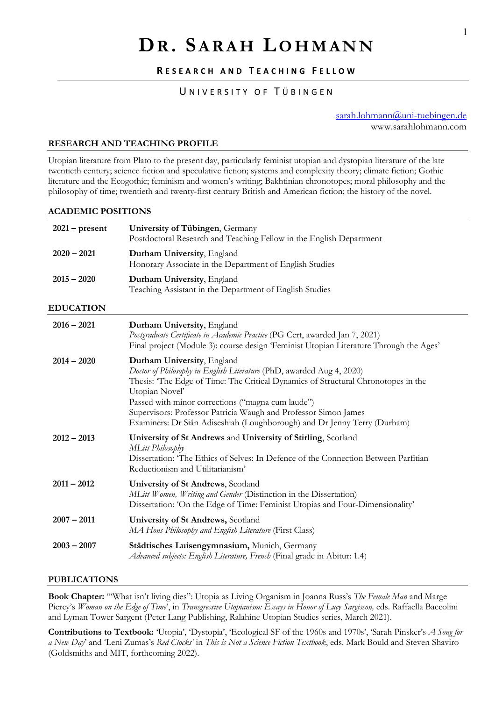# **DR. SARAH LOHMANN**

# **R ESEARCH AND T EACHING F ELLOW**

# UNIVERSITY OF TÜBINGEN

sarah.lohmann@uni-tuebingen.de www.sarahlohmann.com

## **RESEARCH AND TEACHING PROFILE**

Utopian literature from Plato to the present day, particularly feminist utopian and dystopian literature of the late twentieth century; science fiction and speculative fiction; systems and complexity theory; climate fiction; Gothic literature and the Ecogothic; feminism and women's writing; Bakhtinian chronotopes; moral philosophy and the philosophy of time; twentieth and twenty-first century British and American fiction; the history of the novel.

#### **ACADEMIC POSITIONS**

| $2021$ – present | University of Tübingen, Germany<br>Postdoctoral Research and Teaching Fellow in the English Department                                                                                                                                                                                                                                                                                                         |
|------------------|----------------------------------------------------------------------------------------------------------------------------------------------------------------------------------------------------------------------------------------------------------------------------------------------------------------------------------------------------------------------------------------------------------------|
| $2020 - 2021$    | Durham University, England<br>Honorary Associate in the Department of English Studies                                                                                                                                                                                                                                                                                                                          |
| $2015 - 2020$    | Durham University, England<br>Teaching Assistant in the Department of English Studies                                                                                                                                                                                                                                                                                                                          |
| <b>EDUCATION</b> |                                                                                                                                                                                                                                                                                                                                                                                                                |
| $2016 - 2021$    | Durham University, England<br>Postgraduate Certificate in Academic Practice (PG Cert, awarded Jan 7, 2021)<br>Final project (Module 3): course design 'Feminist Utopian Literature Through the Ages'                                                                                                                                                                                                           |
| $2014 - 2020$    | Durham University, England<br>Doctor of Philosophy in English Literature (PhD, awarded Aug 4, 2020)<br>Thesis: 'The Edge of Time: The Critical Dynamics of Structural Chronotopes in the<br>Utopian Novel'<br>Passed with minor corrections ("magna cum laude")<br>Supervisors: Professor Patricia Waugh and Professor Simon James<br>Examiners: Dr Siân Adiseshiah (Loughborough) and Dr Jenny Terry (Durham) |
| $2012 - 2013$    | University of St Andrews and University of Stirling, Scotland<br><b>MLitt Philosophy</b><br>Dissertation: 'The Ethics of Selves: In Defence of the Connection Between Parfitian<br>Reductionism and Utilitarianism'                                                                                                                                                                                            |
| $2011 - 2012$    | University of St Andrews, Scotland<br>MLitt Women, Writing and Gender (Distinction in the Dissertation)<br>Dissertation: 'On the Edge of Time: Feminist Utopias and Four-Dimensionality'                                                                                                                                                                                                                       |
| $2007 - 2011$    | University of St Andrews, Scotland<br>MA Hons Philosophy and English Literature (First Class)                                                                                                                                                                                                                                                                                                                  |
| $2003 - 2007$    | Städtisches Luisengymnasium, Munich, Germany<br>Advanced subjects: English Literature, French (Final grade in Abitur: 1.4)                                                                                                                                                                                                                                                                                     |

#### **PUBLICATIONS**

**Book Chapter:** '"What isn't living dies": Utopia as Living Organism in Joanna Russ's *The Female Man* and Marge Piercy's *Woman on the Edge of Time*', in *Transgressive Utopianism: Essays in Honor of Lucy Sargisson,* eds. Raffaella Baccolini and Lyman Tower Sargent (Peter Lang Publishing, Ralahine Utopian Studies series, March 2021).

**Contributions to Textbook:** 'Utopia', 'Dystopia', 'Ecological SF of the 1960s and 1970s', 'Sarah Pinsker's *A Song for a New Day*' and 'Leni Zumas's *Red Clocks'* in *This is Not a Science Fiction Textbook*, eds. Mark Bould and Steven Shaviro (Goldsmiths and MIT, forthcoming 2022).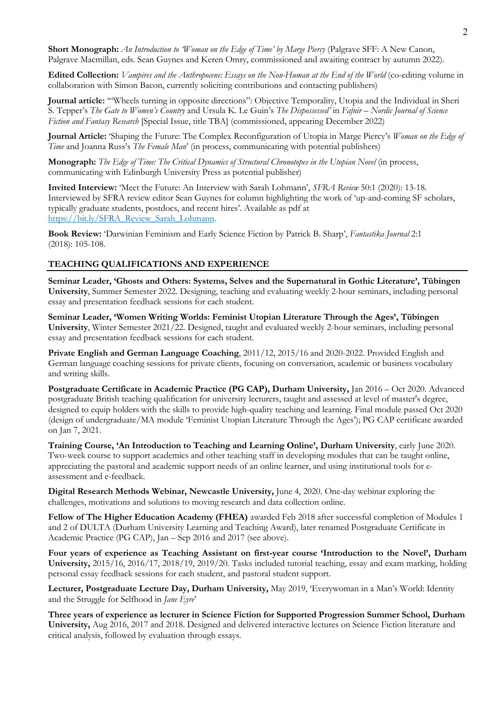**Short Monograph:** *An Introduction to 'Woman on the Edge of Time' by Marge Piercy* (Palgrave SFF: A New Canon, Palgrave Macmillan, eds. Sean Guynes and Keren Omry, commissioned and awaiting contract by autumn 2022).

**Edited Collection:** *Vampires and the Anthropocene: Essays on the Non-Human at the End of the World* (co-editing volume in collaboration with Simon Bacon, currently soliciting contributions and contacting publishers)

**Journal article:** '"Wheels turning in opposite directions": Objective Temporality, Utopia and the Individual in Sheri S. Tepper's *The Gate to Women's Country* and Ursula K. Le Guin's *The Dispossessed'* in *Fafnir – Nordic Journal of Science Fiction and Fantasy Research* [Special Issue, title TBA] (commissioned, appearing December 2022)

**Journal Article:** 'Shaping the Future: The Complex Reconfiguration of Utopia in Marge Piercy's *Woman on the Edge of Time* and Joanna Russ's *The Female Man*' (in process, communicating with potential publishers)

**Monograph:** *The Edge of Time: The Critical Dynamics of Structural Chronotopes in the Utopian Novel* (in process, communicating with Edinburgh University Press as potential publisher)

**Invited Interview:** 'Meet the Future: An Interview with Sarah Lohmann', *SFRA Review* 50:1 (2020): 13-18. Interviewed by SFRA review editor Sean Guynes for column highlighting the work of 'up-and-coming SF scholars, typically graduate students, postdocs, and recent hires'. Available as pdf at https://bit.ly/SFRA\_Review\_Sarah\_Lohmann.

**Book Review:** 'Darwinian Feminism and Early Science Fiction by Patrick B. Sharp', *Fantastika Journal* 2:1 (2018): 105-108.

# **TEACHING QUALIFICATIONS AND EXPERIENCE**

**Seminar Leader, 'Ghosts and Others: Systems, Selves and the Supernatural in Gothic Literature', Tübingen University**, Summer Semester 2022. Designing, teaching and evaluating weekly 2-hour seminars, including personal essay and presentation feedback sessions for each student.

**Seminar Leader, 'Women Writing Worlds: Feminist Utopian Literature Through the Ages', Tübingen University**, Winter Semester 2021/22. Designed, taught and evaluated weekly 2-hour seminars, including personal essay and presentation feedback sessions for each student.

**Private English and German Language Coaching**, 2011/12, 2015/16 and 2020-2022. Provided English and German language coaching sessions for private clients, focusing on conversation, academic or business vocabulary and writing skills.

**Postgraduate Certificate in Academic Practice (PG CAP), Durham University,** Jan 2016 – Oct 2020. Advanced postgraduate British teaching qualification for university lecturers, taught and assessed at level of master's degree, designed to equip holders with the skills to provide high-quality teaching and learning. Final module passed Oct 2020 (design of undergraduate/MA module 'Feminist Utopian Literature Through the Ages'); PG CAP certificate awarded on Jan 7, 2021.

**Training Course, 'An Introduction to Teaching and Learning Online', Durham University**, early June 2020. Two-week course to support academics and other teaching staff in developing modules that can be taught online, appreciating the pastoral and academic support needs of an online learner, and using institutional tools for eassessment and e-feedback.

**Digital Research Methods Webinar, Newcastle University,** June 4, 2020. One-day webinar exploring the challenges, motivations and solutions to moving research and data collection online.

**Fellow of The Higher Education Academy (FHEA)** awarded Feb 2018 after successful completion of Modules 1 and 2 of DULTA (Durham University Learning and Teaching Award), later renamed Postgraduate Certificate in Academic Practice (PG CAP), Jan – Sep 2016 and 2017 (see above).

**Four years of experience as Teaching Assistant on first-year course 'Introduction to the Novel', Durham University,** 2015/16, 2016/17, 2018/19, 2019/20*.* Tasks included tutorial teaching, essay and exam marking, holding personal essay feedback sessions for each student, and pastoral student support.

**Lecturer, Postgraduate Lecture Day, Durham University,** May 2019, 'Everywoman in a Man's World: Identity and the Struggle for Selfhood in *Jane Eyre*'

**Three years of experience as lecturer in Science Fiction for Supported Progression Summer School, Durham University,** Aug 2016, 2017 and 2018. Designed and delivered interactive lectures on Science Fiction literature and critical analysis, followed by evaluation through essays.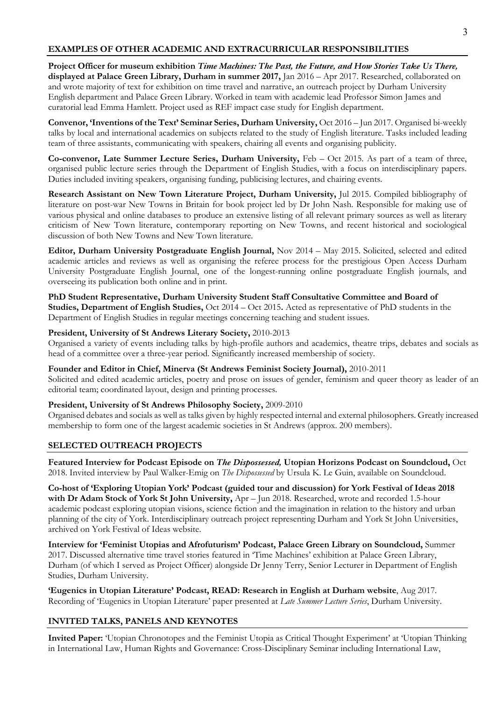# **EXAMPLES OF OTHER ACADEMIC AND EXTRACURRICULAR RESPONSIBILITIES**

**Project Officer for museum exhibition** *Time Machines: The Past, the Future, and How Stories Take Us There,* **displayed at Palace Green Library, Durham in summer 2017,** Jan 2016 – Apr 2017. Researched, collaborated on and wrote majority of text for exhibition on time travel and narrative, an outreach project by Durham University English department and Palace Green Library. Worked in team with academic lead Professor Simon James and curatorial lead Emma Hamlett. Project used as REF impact case study for English department.

**Convenor, 'Inventions of the Text' Seminar Series, Durham University,** Oct 2016 – Jun 2017. Organised bi-weekly talks by local and international academics on subjects related to the study of English literature. Tasks included leading team of three assistants, communicating with speakers, chairing all events and organising publicity.

**Co-convenor, Late Summer Lecture Series, Durham University,** Feb – Oct 2015. As part of a team of three, organised public lecture series through the Department of English Studies, with a focus on interdisciplinary papers. Duties included inviting speakers, organising funding, publicising lectures, and chairing events.

**Research Assistant on New Town Literature Project, Durham University,** Jul 2015. Compiled bibliography of literature on post-war New Towns in Britain for book project led by Dr John Nash. Responsible for making use of various physical and online databases to produce an extensive listing of all relevant primary sources as well as literary criticism of New Town literature, contemporary reporting on New Towns, and recent historical and sociological discussion of both New Towns and New Town literature.

**Editor, Durham University Postgraduate English Journal,** Nov 2014 – May 2015. Solicited, selected and edited academic articles and reviews as well as organising the referee process for the prestigious Open Access Durham University Postgraduate English Journal, one of the longest-running online postgraduate English journals, and overseeing its publication both online and in print.

**PhD Student Representative, Durham University Student Staff Consultative Committee and Board of** 

**Studies, Department of English Studies,** Oct 2014 – Oct 2015**.** Acted as representative of PhD students in the Department of English Studies in regular meetings concerning teaching and student issues.

# **President, University of St Andrews Literary Society,** 2010-2013

Organised a variety of events including talks by high-profile authors and academics, theatre trips, debates and socials as head of a committee over a three-year period. Significantly increased membership of society.

**Founder and Editor in Chief, Minerva (St Andrews Feminist Society Journal),** 2010-2011

Solicited and edited academic articles, poetry and prose on issues of gender, feminism and queer theory as leader of an editorial team; coordinated layout, design and printing processes.

# **President, University of St Andrews Philosophy Society,** 2009-2010

Organised debates and socials as well as talks given by highly respected internal and external philosophers. Greatly increased membership to form one of the largest academic societies in St Andrews (approx. 200 members).

# **SELECTED OUTREACH PROJECTS**

**Featured Interview for Podcast Episode on** *The Dispossessed,* **Utopian Horizons Podcast on Soundcloud,** Oct 2018. Invited interview by Paul Walker-Emig on *The Dispossessed* by Ursula K. Le Guin, available on Soundcloud.

**Co-host of 'Exploring Utopian York' Podcast (guided tour and discussion) for York Festival of Ideas 2018 with Dr Adam Stock of York St John University,** Apr – Jun 2018. Researched, wrote and recorded 1.5-hour academic podcast exploring utopian visions, science fiction and the imagination in relation to the history and urban planning of the city of York. Interdisciplinary outreach project representing Durham and York St John Universities, archived on York Festival of Ideas website.

**Interview for 'Feminist Utopias and Afrofuturism' Podcast, Palace Green Library on Soundcloud,** Summer 2017. Discussed alternative time travel stories featured in 'Time Machines' exhibition at Palace Green Library, Durham (of which I served as Project Officer) alongside Dr Jenny Terry, Senior Lecturer in Department of English Studies, Durham University.

**'Eugenics in Utopian Literature' Podcast, READ: Research in English at Durham website**, Aug 2017. Recording of 'Eugenics in Utopian Literature' paper presented at *Late Summer Lecture Series*, Durham University.

# **INVITED TALKS, PANELS AND KEYNOTES**

**Invited Paper:** 'Utopian Chronotopes and the Feminist Utopia as Critical Thought Experiment' at 'Utopian Thinking in International Law, Human Rights and Governance: Cross-Disciplinary Seminar including International Law,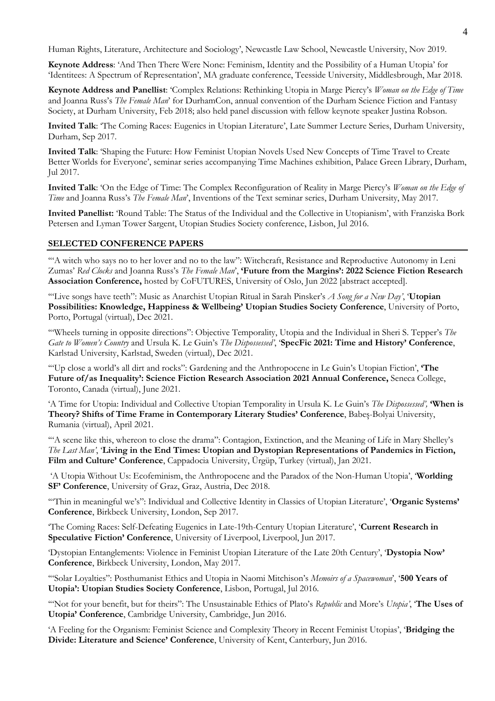Human Rights, Literature, Architecture and Sociology', Newcastle Law School, Newcastle University, Nov 2019.

**Keynote Address**: 'And Then There Were None: Feminism, Identity and the Possibility of a Human Utopia' for 'Identitees: A Spectrum of Representation', MA graduate conference, Teesside University, Middlesbrough, Mar 2018.

**Keynote Address and Panellist**: 'Complex Relations: Rethinking Utopia in Marge Piercy's *Woman on the Edge of Time* and Joanna Russ's *The Female Man*' for DurhamCon, annual convention of the Durham Science Fiction and Fantasy Society, at Durham University, Feb 2018; also held panel discussion with fellow keynote speaker Justina Robson.

**Invited Talk**: 'The Coming Races: Eugenics in Utopian Literature', Late Summer Lecture Series, Durham University, Durham, Sep 2017.

**Invited Talk**: 'Shaping the Future: How Feminist Utopian Novels Used New Concepts of Time Travel to Create Better Worlds for Everyone', seminar series accompanying Time Machines exhibition, Palace Green Library, Durham, Jul 2017.

**Invited Talk**: 'On the Edge of Time: The Complex Reconfiguration of Reality in Marge Piercy's *Woman on the Edge of Time* and Joanna Russ's *The Female Man*', Inventions of the Text seminar series, Durham University, May 2017.

**Invited Panellist:** 'Round Table: The Status of the Individual and the Collective in Utopianism', with Franziska Bork Petersen and Lyman Tower Sargent, Utopian Studies Society conference, Lisbon, Jul 2016.

# **SELECTED CONFERENCE PAPERS**

'"A witch who says no to her lover and no to the law": Witchcraft, Resistance and Reproductive Autonomy in Leni Zumas' *Red Clocks* and Joanna Russ's *The Female Man*', **'Future from the Margins': 2022 Science Fiction Research Association Conference,** hosted by CoFUTURES, University of Oslo, Jun 2022 [abstract accepted].

'"Live songs have teeth": Music as Anarchist Utopian Ritual in Sarah Pinsker's *A Song for a New Day'*, '**Utopian Possibilities: Knowledge, Happiness & Wellbeing' Utopian Studies Society Conference**, University of Porto, Porto, Portugal (virtual), Dec 2021.

'"Wheels turning in opposite directions": Objective Temporality, Utopia and the Individual in Sheri S. Tepper's *The Gate to Women's Country* and Ursula K. Le Guin's *The Dispossessed'*, '**SpecFic 2021: Time and History' Conference**, Karlstad University, Karlstad, Sweden (virtual), Dec 2021.

'"Up close a world's all dirt and rocks": Gardening and the Anthropocene in Le Guin's Utopian Fiction', **'The Future of/as Inequality': Science Fiction Research Association 2021 Annual Conference,** Seneca College, Toronto, Canada (virtual), June 2021.

'A Time for Utopia: Individual and Collective Utopian Temporality in Ursula K. Le Guin's *The Dispossessed',* **'When is Theory? Shifts of Time Frame in Contemporary Literary Studies' Conference**, Babeș-Bolyai University, Rumania (virtual), April 2021.

'"A scene like this, whereon to close the drama": Contagion, Extinction, and the Meaning of Life in Mary Shelley's *The Last Man'*, '**Living in the End Times: Utopian and Dystopian Representations of Pandemics in Fiction, Film and Culture' Conference**, Cappadocia University, Ürgüp, Turkey (virtual), Jan 2021.

'A Utopia Without Us: Ecofeminism, the Anthropocene and the Paradox of the Non-Human Utopia', '**Worlding SF' Conference**, University of Graz, Graz, Austria, Dec 2018.

'"Thin in meaningful we's": Individual and Collective Identity in Classics of Utopian Literature', '**Organic Systems' Conference**, Birkbeck University, London, Sep 2017.

'The Coming Races: Self-Defeating Eugenics in Late-19th-Century Utopian Literature', '**Current Research in Speculative Fiction' Conference**, University of Liverpool, Liverpool, Jun 2017.

'Dystopian Entanglements: Violence in Feminist Utopian Literature of the Late 20th Century', '**Dystopia Now' Conference**, Birkbeck University, London, May 2017.

'"Solar Loyalties": Posthumanist Ethics and Utopia in Naomi Mitchison's *Memoirs of a Spacewoman*', '**500 Years of Utopia': Utopian Studies Society Conference**, Lisbon, Portugal, Jul 2016.

'"Not for your benefit, but for theirs": The Unsustainable Ethics of Plato's *Republic* and More's *Utopia'*, '**The Uses of Utopia' Conference**, Cambridge University, Cambridge, Jun 2016.

'A Feeling for the Organism: Feminist Science and Complexity Theory in Recent Feminist Utopias', '**Bridging the Divide: Literature and Science' Conference**, University of Kent, Canterbury, Jun 2016.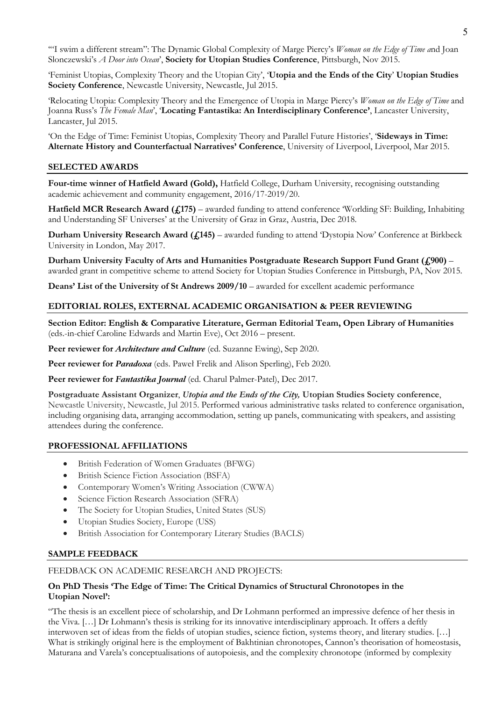'"I swim a different stream": The Dynamic Global Complexity of Marge Piercy's *Woman on the Edge of Time a*nd Joan Slonczewski's *A Door into Ocean*', **Society for Utopian Studies Conference**, Pittsburgh, Nov 2015.

'Feminist Utopias, Complexity Theory and the Utopian City', '**Utopia and the Ends of the City**' **Utopian Studies Society Conference**, Newcastle University, Newcastle, Jul 2015.

'Relocating Utopia: Complexity Theory and the Emergence of Utopia in Marge Piercy's *Woman on the Edge of Time* and Joanna Russ's *The Female Man*', '**Locating Fantastika: An Interdisciplinary Conference'**, Lancaster University, Lancaster, Jul 2015.

'On the Edge of Time: Feminist Utopias, Complexity Theory and Parallel Future Histories', '**Sideways in Time: Alternate History and Counterfactual Narratives' Conference**, University of Liverpool, Liverpool, Mar 2015.

# **SELECTED AWARDS**

**Four-time winner of Hatfield Award (Gold),** Hatfield College, Durham University, recognising outstanding academic achievement and community engagement, 2016/17-2019/20.

**Hatfield MCR Research Award (£175)** – awarded funding to attend conference 'Worlding SF: Building, Inhabiting and Understanding SF Universes' at the University of Graz in Graz, Austria, Dec 2018.

**Durham University Research Award (£145)** – awarded funding to attend 'Dystopia Now' Conference at Birkbeck University in London, May 2017.

**Durham University Faculty of Arts and Humanities Postgraduate Research Support Fund Grant (£900)** – awarded grant in competitive scheme to attend Society for Utopian Studies Conference in Pittsburgh, PA, Nov 2015.

**Deans' List of the University of St Andrews 2009/10** – awarded for excellent academic performance

# **EDITORIAL ROLES, EXTERNAL ACADEMIC ORGANISATION & PEER REVIEWING**

**Section Editor: English & Comparative Literature, German Editorial Team, Open Library of Humanities**  (eds.-in-chief Caroline Edwards and Martin Eve), Oct 2016 – present.

Peer reviewer for *Architecture and Culture* (ed. Suzanne Ewing), Sep 2020.

Peer reviewer for *Paradoxa* (eds. Paweł Frelik and Alison Sperling), Feb 2020.

Peer reviewer for *Fantastika Journal* (ed. Charul Palmer-Patel), Dec 2017.

**Postgraduate Assistant Organizer**, *Utopia and the Ends of the City,* **Utopian Studies Society conference**, Newcastle University, Newcastle, Jul 2015. Performed various administrative tasks related to conference organisation, including organising data, arranging accommodation, setting up panels, communicating with speakers, and assisting attendees during the conference.

# **PROFESSIONAL AFFILIATIONS**

- British Federation of Women Graduates (BFWG)
- British Science Fiction Association (BSFA)
- Contemporary Women's Writing Association (CWWA)
- Science Fiction Research Association (SFRA)
- The Society for Utopian Studies, United States (SUS)
- Utopian Studies Society, Europe (USS)
- British Association for Contemporary Literary Studies (BACLS)

# **SAMPLE FEEDBACK**

# FEEDBACK ON ACADEMIC RESEARCH AND PROJECTS:

# **On PhD Thesis 'The Edge of Time: The Critical Dynamics of Structural Chronotopes in the Utopian Novel':**

"The thesis is an excellent piece of scholarship, and Dr Lohmann performed an impressive defence of her thesis in the Viva. […] Dr Lohmann's thesis is striking for its innovative interdisciplinary approach. It offers a deftly interwoven set of ideas from the fields of utopian studies, science fiction, systems theory, and literary studies. […] What is strikingly original here is the employment of Bakhtinian chronotopes, Cannon's theorisation of homeostasis, Maturana and Varela's conceptualisations of autopoiesis, and the complexity chronotope (informed by complexity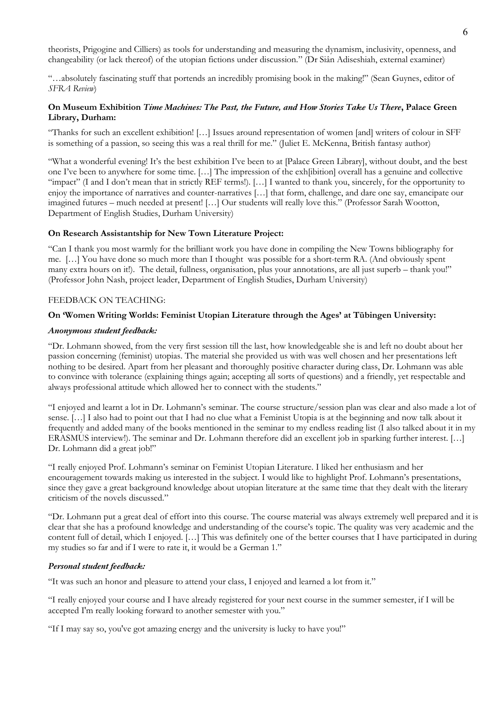theorists, Prigogine and Cilliers) as tools for understanding and measuring the dynamism, inclusivity, openness, and changeability (or lack thereof) of the utopian fictions under discussion." (Dr Siân Adiseshiah, external examiner)

"…absolutely fascinating stuff that portends an incredibly promising book in the making!" (Sean Guynes, editor of *SFRA Review*)

# **On Museum Exhibition** *Time Machines: The Past, the Future, and How Stories Take Us There***, Palace Green Library, Durham:**

"Thanks for such an excellent exhibition! […] Issues around representation of women [and] writers of colour in SFF is something of a passion, so seeing this was a real thrill for me." (Juliet E. McKenna, British fantasy author)

"What a wonderful evening! It's the best exhibition I've been to at [Palace Green Library], without doubt, and the best one I've been to anywhere for some time. […] The impression of the exh[ibition] overall has a genuine and collective "impact" (I and I don't mean that in strictly REF terms!). […] I wanted to thank you, sincerely, for the opportunity to enjoy the importance of narratives and counter-narratives […] that form, challenge, and dare one say, emancipate our imagined futures – much needed at present! […] Our students will really love this." (Professor Sarah Wootton, Department of English Studies, Durham University)

# **On Research Assistantship for New Town Literature Project:**

"Can I thank you most warmly for the brilliant work you have done in compiling the New Towns bibliography for me. […] You have done so much more than I thought was possible for a short-term RA. (And obviously spent many extra hours on it!). The detail, fullness, organisation, plus your annotations, are all just superb – thank you!" (Professor John Nash, project leader, Department of English Studies, Durham University)

#### FEEDBACK ON TEACHING:

#### **On 'Women Writing Worlds: Feminist Utopian Literature through the Ages' at Tübingen University:**

#### *Anonymous student feedback:*

"Dr. Lohmann showed, from the very first session till the last, how knowledgeable she is and left no doubt about her passion concerning (feminist) utopias. The material she provided us with was well chosen and her presentations left nothing to be desired. Apart from her pleasant and thoroughly positive character during class, Dr. Lohmann was able to convince with tolerance (explaining things again; accepting all sorts of questions) and a friendly, yet respectable and always professional attitude which allowed her to connect with the students."

"I enjoyed and learnt a lot in Dr. Lohmann's seminar. The course structure/session plan was clear and also made a lot of sense. […] I also had to point out that I had no clue what a Feminist Utopia is at the beginning and now talk about it frequently and added many of the books mentioned in the seminar to my endless reading list (I also talked about it in my ERASMUS interview!). The seminar and Dr. Lohmann therefore did an excellent job in sparking further interest. […] Dr. Lohmann did a great job!"

"I really enjoyed Prof. Lohmann's seminar on Feminist Utopian Literature. I liked her enthusiasm and her encouragement towards making us interested in the subject. I would like to highlight Prof. Lohmann's presentations, since they gave a great background knowledge about utopian literature at the same time that they dealt with the literary criticism of the novels discussed."

"Dr. Lohmann put a great deal of effort into this course. The course material was always extremely well prepared and it is clear that she has a profound knowledge and understanding of the course's topic. The quality was very academic and the content full of detail, which I enjoyed. […] This was definitely one of the better courses that I have participated in during my studies so far and if I were to rate it, it would be a German 1."

#### *Personal student feedback:*

"It was such an honor and pleasure to attend your class, I enjoyed and learned a lot from it."

"I really enjoyed your course and I have already registered for your next course in the summer semester, if I will be accepted I'm really looking forward to another semester with you."

"If I may say so, you've got amazing energy and the university is lucky to have you!"